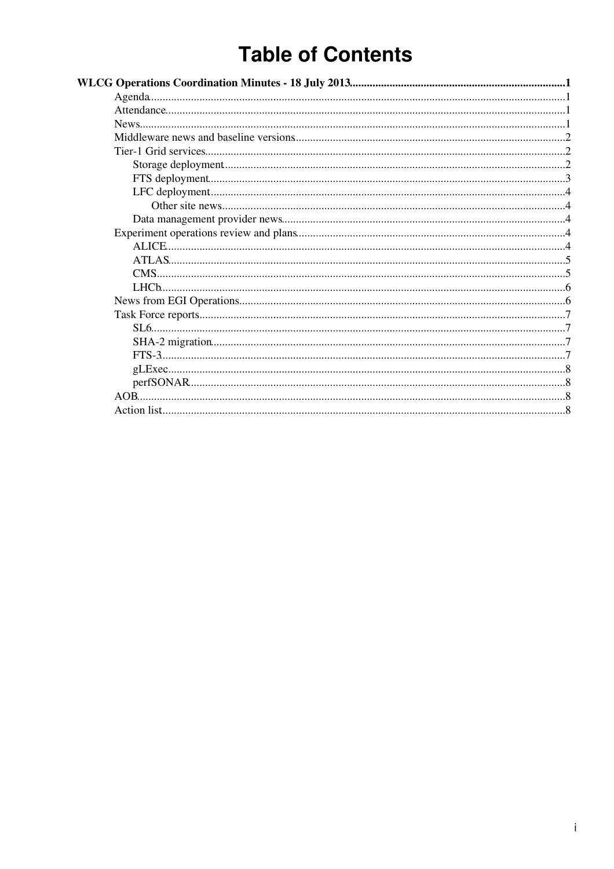# **Table of Contents**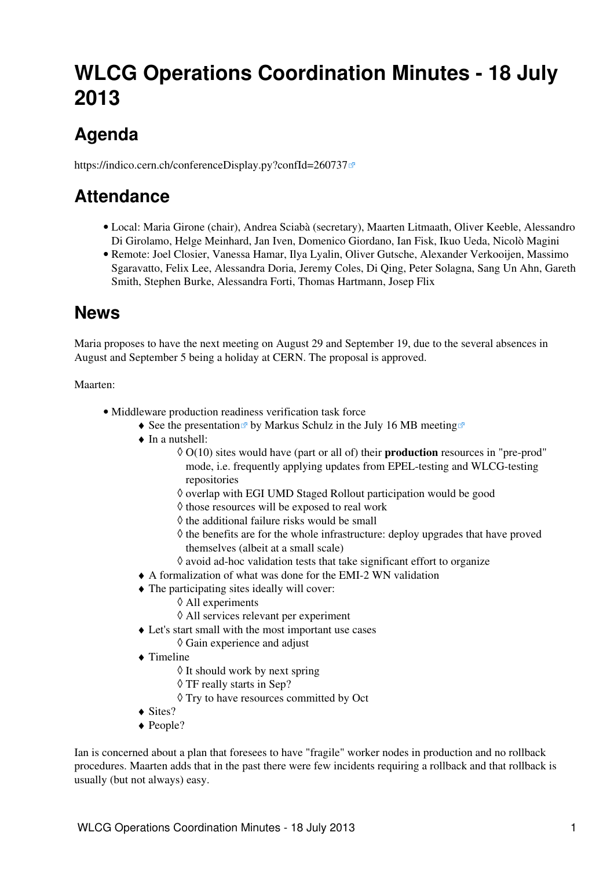# <span id="page-1-0"></span>**WLCG Operations Coordination Minutes - 18 July 2013**

# <span id="page-1-1"></span>**Agenda**

<https://indico.cern.ch/conferenceDisplay.py?confId=260737>

## <span id="page-1-2"></span>**Attendance**

- Local: Maria Girone (chair), Andrea Sciabà (secretary), Maarten Litmaath, Oliver Keeble, Alessandro Di Girolamo, Helge Meinhard, Jan Iven, Domenico Giordano, Ian Fisk, Ikuo Ueda, Nicolò Magini
- Remote: Joel Closier, Vanessa Hamar, Ilya Lyalin, Oliver Gutsche, Alexander Verkooijen, Massimo Sgaravatto, Felix Lee, Alessandra Doria, Jeremy Coles, Di Qing, Peter Solagna, Sang Un Ahn, Gareth Smith, Stephen Burke, Alessandra Forti, Thomas Hartmann, Josep Flix

## <span id="page-1-3"></span>**News**

Maria proposes to have the next meeting on August 29 and September 19, due to the several absences in August and September 5 being a holiday at CERN. The proposal is approved.

#### Maarten:

- Middleware production readiness verification task force
	- See the [presentation](http://indico.cern.ch/getFile.py/access?contribId=3&resId=1&materialId=slides&confId=217952)  $\mathbb{Z}$  by Markus Schulz in the [July 16 MB meeting](http://indico.cern.ch/conferenceDisplay.py?confId=217952)  $\mathbb{Z}$
	- In a nutshell:
		- O(10) sites would have (part or all of) their **production** resources in "pre-prod" ◊ mode, i.e. frequently applying updates from EPEL-testing and WLCG-testing repositories
		- ◊ overlap with EGI UMD Staged Rollout participation would be good
		- ◊ those resources will be exposed to real work
		- $\diamond$  the additional failure risks would be small
		- ◊ the benefits are for the whole infrastructure: deploy upgrades that have proved themselves (albeit at a small scale)
		- $\Diamond$  avoid ad-hoc validation tests that take significant effort to organize
	- ♦ A formalization of what was done for the [EMI-2 WN validation](https://twiki.cern.ch/twiki/bin/view/LCG/WorkerNodeTesting)
	- The participating sites ideally will cover: ♦
		- ◊ All experiments
		- ◊ All services relevant per experiment
	- Let's start small with the most important use cases ♦
		- ◊ Gain experience and adjust
	- Timeline ♦
		- $\Diamond$  It should work by next spring
		- ◊ TF really starts in Sep?
		- ◊ Try to have resources committed by Oct
	- $\triangleleft$  Sites?
	- ◆ People?

Ian is concerned about a plan that foresees to have "fragile" worker nodes in production and no rollback procedures. Maarten adds that in the past there were few incidents requiring a rollback and that rollback is usually (but not always) easy.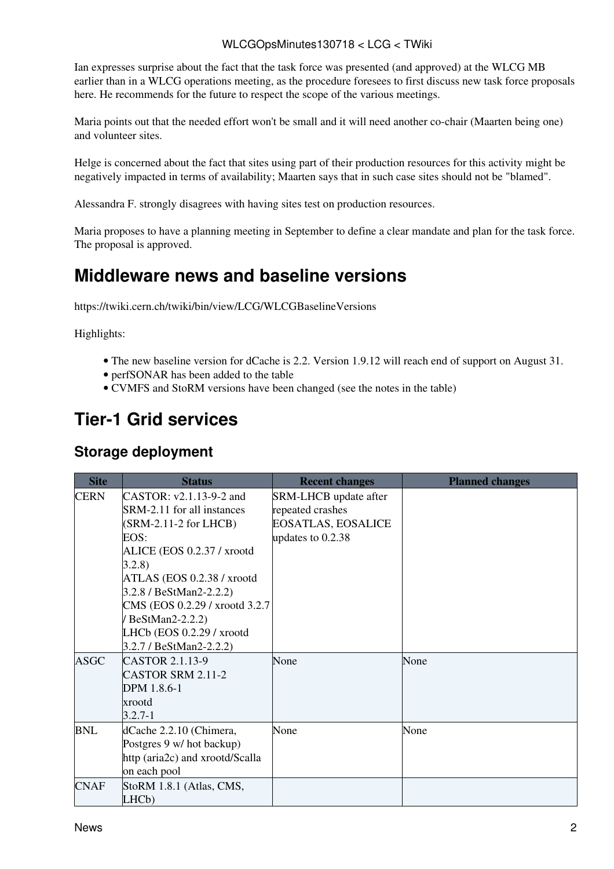#### WLCGOpsMinutes130718 < LCG < TWiki

Ian expresses surprise about the fact that the task force was presented (and approved) at the WLCG MB earlier than in a WLCG operations meeting, as the procedure foresees to first discuss new task force proposals here. He recommends for the future to respect the scope of the various meetings.

Maria points out that the needed effort won't be small and it will need another co-chair (Maarten being one) and volunteer sites.

Helge is concerned about the fact that sites using part of their production resources for this activity might be negatively impacted in terms of availability; Maarten says that in such case sites should not be "blamed".

Alessandra F. strongly disagrees with having sites test on production resources.

Maria proposes to have a planning meeting in September to define a clear mandate and plan for the task force. The proposal is approved.

### <span id="page-2-0"></span>**Middleware news and baseline versions**

<https://twiki.cern.ch/twiki/bin/view/LCG/WLCGBaselineVersions>

Highlights:

- The new baseline version for dCache is 2.2. Version 1.9.12 will reach end of support on August 31.
- perfSONAR has been added to the table
- CVMFS and StoRM versions have been changed (see the notes in the table)

### <span id="page-2-1"></span>**Tier-1 Grid services**

#### <span id="page-2-2"></span>**Storage deployment**

| <b>Site</b> | <b>Status</b>                                                                                                                                                                                                                                                                                           | <b>Recent changes</b>                                                                              | <b>Planned changes</b> |
|-------------|---------------------------------------------------------------------------------------------------------------------------------------------------------------------------------------------------------------------------------------------------------------------------------------------------------|----------------------------------------------------------------------------------------------------|------------------------|
| <b>CERN</b> | CASTOR: v2.1.13-9-2 and<br>SRM-2.11 for all instances<br>$(SRM-2.11-2 for LHCB)$<br>EOS:<br>ALICE (EOS 0.2.37 / xrootd<br>3.2.8)<br>ATLAS (EOS 0.2.38 / xrootd<br>3.2.8 / BeStMan2-2.2.2)<br>CMS (EOS 0.2.29 / xrootd 3.2.7)<br>BeStMan2-2.2.2)<br>LHCb (EOS 0.2.29 / xrootd<br>3.2.7 / BeStMan2-2.2.2) | <b>SRM-LHCB</b> update after<br>repeated crashes<br><b>EOSATLAS, EOSALICE</b><br>updates to 0.2.38 |                        |
| <b>ASGC</b> | CASTOR 2.1.13-9<br><b>CASTOR SRM 2.11-2</b><br>DPM 1.8.6-1<br>xrootd<br>$3.2.7 - 1$                                                                                                                                                                                                                     | None                                                                                               | None                   |
| <b>BNL</b>  | dCache 2.2.10 (Chimera,<br>Postgres 9 w/ hot backup)<br>http (aria2c) and xrootd/Scalla<br>on each pool                                                                                                                                                                                                 | None                                                                                               | None                   |
| <b>CNAF</b> | StoRM 1.8.1 (Atlas, CMS,<br>LHC <sub>b</sub> )                                                                                                                                                                                                                                                          |                                                                                                    |                        |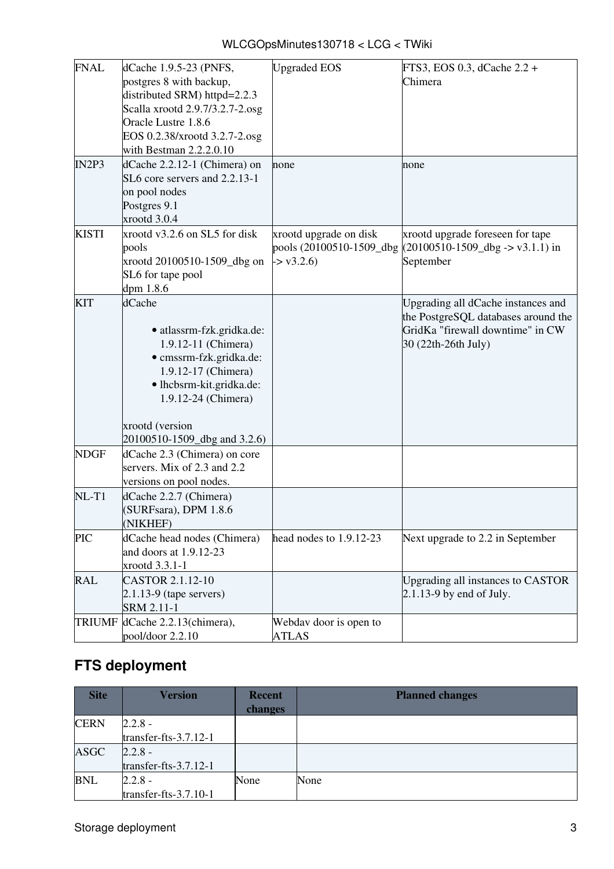| WLCGOpsMinutes130718 < LCG < TWiki |  |  |
|------------------------------------|--|--|
|------------------------------------|--|--|

| <b>FNAL</b>   | dCache 1.9.5-23 (PNFS,          | <b>Upgraded EOS</b>         | FTS3, EOS 0.3, dCache 2.2 +                                              |
|---------------|---------------------------------|-----------------------------|--------------------------------------------------------------------------|
|               | postgres 8 with backup,         |                             | Chimera                                                                  |
|               | distributed SRM) httpd=2.2.3    |                             |                                                                          |
|               | Scalla xrootd 2.9.7/3.2.7-2.osg |                             |                                                                          |
|               | Oracle Lustre 1.8.6             |                             |                                                                          |
|               |                                 |                             |                                                                          |
|               | EOS 0.2.38/xrootd 3.2.7-2.osg   |                             |                                                                          |
|               | with Bestman 2.2.2.0.10         |                             |                                                                          |
| IN2P3         | dCache 2.2.12-1 (Chimera) on    | none                        | none                                                                     |
|               | SL6 core servers and 2.2.13-1   |                             |                                                                          |
|               | on pool nodes                   |                             |                                                                          |
|               | Postgres 9.1                    |                             |                                                                          |
|               | xrootd 3.0.4                    |                             |                                                                          |
| <b>KISTI</b>  | xrootd v3.2.6 on SL5 for disk   | xrootd upgrade on disk      | xrootd upgrade foreseen for tape                                         |
|               | pools                           |                             | pools $(20100510-1509$ dbg $(20100510-1509$ dbg $\rightarrow$ v3.1.1) in |
|               | xrootd 20100510-1509_dbg on     | $\approx$ v3.2.6)           | September                                                                |
|               | SL6 for tape pool               |                             |                                                                          |
|               | dpm 1.8.6                       |                             |                                                                          |
|               |                                 |                             |                                                                          |
| <b>KIT</b>    | dCache                          |                             | Upgrading all dCache instances and                                       |
|               |                                 |                             | the PostgreSQL databases around the                                      |
|               | · atlassrm-fzk.gridka.de:       |                             | GridKa "firewall downtime" in CW                                         |
|               | 1.9.12-11 (Chimera)             |                             | 30 (22th-26th July)                                                      |
|               | · cmssrm-fzk.gridka.de:         |                             |                                                                          |
|               | 1.9.12-17 (Chimera)             |                             |                                                                          |
|               | · lhcbsrm-kit.gridka.de:        |                             |                                                                          |
|               | 1.9.12-24 (Chimera)             |                             |                                                                          |
|               |                                 |                             |                                                                          |
|               | xrootd (version                 |                             |                                                                          |
|               | 20100510-1509_dbg and 3.2.6)    |                             |                                                                          |
| <b>NDGF</b>   | dCache 2.3 (Chimera) on core    |                             |                                                                          |
|               | servers. Mix of 2.3 and 2.2     |                             |                                                                          |
|               | versions on pool nodes.         |                             |                                                                          |
| $NL-T1$       |                                 |                             |                                                                          |
|               | dCache 2.2.7 (Chimera)          |                             |                                                                          |
|               | (SURFsara), DPM 1.8.6           |                             |                                                                          |
|               | (NIKHEF)                        |                             |                                                                          |
| <b>PIC</b>    | dCache head nodes (Chimera)     | head nodes to $1.9.12 - 23$ | Next upgrade to 2.2 in September                                         |
|               | and doors at 1.9.12-23          |                             |                                                                          |
|               | xrootd 3.3.1-1                  |                             |                                                                          |
| <b>RAL</b>    | CASTOR 2.1.12-10                |                             | Upgrading all instances to CASTOR                                        |
|               | $2.1.13-9$ (tape servers)       |                             | $2.1.13-9$ by end of July.                                               |
|               | SRM 2.11-1                      |                             |                                                                          |
| <b>TRIUMF</b> | dCache 2.2.13(chimera),         | Webday door is open to      |                                                                          |
|               | pool/door 2.2.10                | <b>ATLAS</b>                |                                                                          |
|               |                                 |                             |                                                                          |

## <span id="page-3-0"></span>**FTS deployment**

| <b>Site</b> | <b>Version</b>           | <b>Recent</b><br>changes | <b>Planned changes</b> |
|-------------|--------------------------|--------------------------|------------------------|
| <b>CERN</b> | $2.2.8 -$                |                          |                        |
|             | transfer-fts-3.7.12-1    |                          |                        |
| <b>ASGC</b> | $2.2.8 -$                |                          |                        |
|             | transfer-fts- $3.7.12-1$ |                          |                        |
| <b>BNL</b>  | $2.2.8 -$                | None                     | None                   |
|             | transfer-fts- $3.7.10-1$ |                          |                        |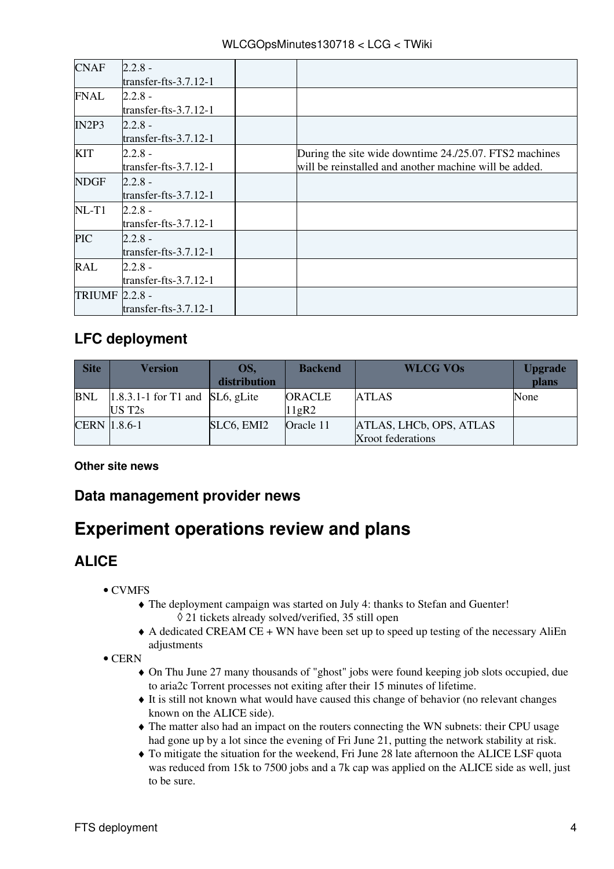| <b>CNAF</b>           | $2.2.8 -$                |                                                        |
|-----------------------|--------------------------|--------------------------------------------------------|
|                       | transfer-fts- $3.7.12-1$ |                                                        |
| <b>FNAL</b>           | $2.2.8 -$                |                                                        |
|                       | transfer-fts- $3.7.12-1$ |                                                        |
| IN2P3                 | $2.2.8 -$                |                                                        |
|                       | transfer-fts- $3.7.12-1$ |                                                        |
| <b>KIT</b>            | 2.2.8 -                  | During the site wide downtime 24./25.07. FTS2 machines |
|                       | transfer-fts- $3.7.12-1$ | will be reinstalled and another machine will be added. |
| <b>NDGF</b>           | 2.2.8 -                  |                                                        |
|                       | transfer-fts- $3.7.12-1$ |                                                        |
| $NL-T1$               | $2.2.8 -$                |                                                        |
|                       | transfer-fts- $3.7.12-1$ |                                                        |
| <b>PIC</b>            | $2.2.8 -$                |                                                        |
|                       | transfer-fts- $3.7.12-1$ |                                                        |
| <b>RAL</b>            | 2.2.8 -                  |                                                        |
|                       | transfer-fts- $3.7.12-1$ |                                                        |
| <b>TRIUMF 2.2.8 -</b> |                          |                                                        |
|                       | transfer-fts- $3.7.12-1$ |                                                        |

### <span id="page-4-0"></span>**LFC deployment**

| <b>Site</b>         | Version                                    | OS.<br>distribution | <b>Backend</b>         | <b>WLCG VOs</b>                              | <b>Upgrade</b><br>plans |
|---------------------|--------------------------------------------|---------------------|------------------------|----------------------------------------------|-------------------------|
| <b>BNL</b>          | $1.8.3.1-1$ for T1 and SL6, gLite<br>UST2s |                     | <b>ORACLE</b><br>11gR2 | <b>ATLAS</b>                                 | None                    |
| <b>CERN</b> 1.8.6-1 |                                            | SLC6, EMI2          | Oracle 11              | ATLAS, LHCb, OPS, ATLAS<br>Xroot federations |                         |

#### <span id="page-4-1"></span>**Other site news**

#### <span id="page-4-2"></span>**Data management provider news**

## <span id="page-4-3"></span>**Experiment operations review and plans**

### <span id="page-4-4"></span>**ALICE**

- CVMFS
	- The deployment campaign was started on July 4: thanks to Stefan and Guenter! ♦ ◊ 21 tickets already solved/verified, 35 still open
	- A dedicated [CREAM](https://twiki.cern.ch/twiki/bin/view/LCG/CREAM) CE + WN have been set up to speed up testing of the necessary AliEn ♦ adjustments
- CERN
	- On Thu June 27 many thousands of "ghost" jobs were found keeping job slots occupied, due ♦ to aria2c Torrent processes not exiting after their 15 minutes of lifetime.
	- It is still not known what would have caused this change of behavior (no relevant changes ♦ known on the ALICE side).
	- The matter also had an impact on the routers connecting the WN subnets: their CPU usage ♦ had gone up by a lot since the evening of Fri June 21, putting the network stability at risk.
	- To mitigate the situation for the weekend, Fri June 28 late afternoon the ALICE [LSF](https://twiki.cern.ch/twiki/bin/view/LCG/LSF) quota ♦ was reduced from 15k to 7500 jobs and a 7k cap was applied on the ALICE side as well, just to be sure.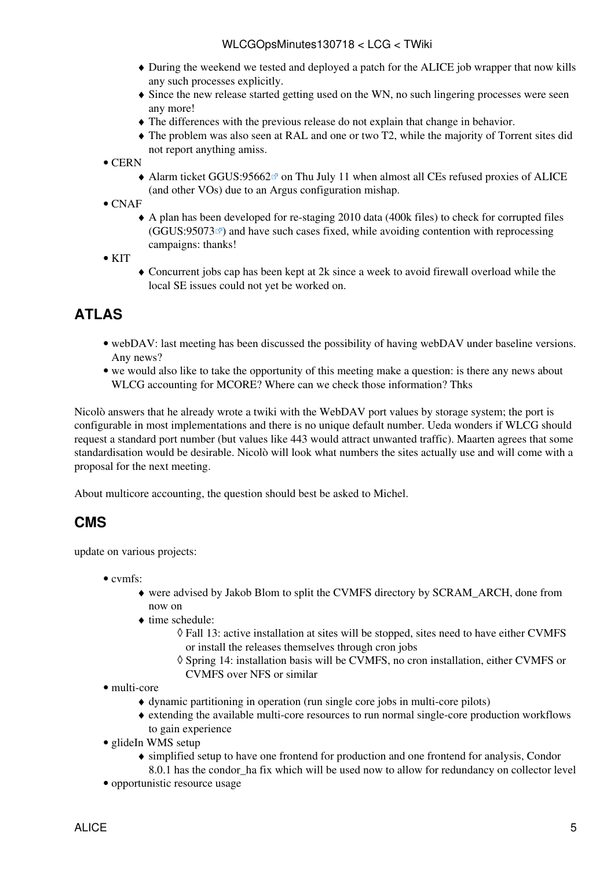- During the weekend we tested and deployed a patch for the ALICE job wrapper that now kills ♦ any such processes explicitly.
- Since the new release started getting used on the WN, no such lingering processes were seen ♦ any more!
- ♦ The differences with the previous release do not explain that change in behavior.
- The problem was also seen at [RAL](https://twiki.cern.ch/twiki/bin/view/LCG/RAL) and one or two T2, while the majority of Torrent sites did ♦ not report anything amiss.
- CERN
	- Alarm ticket GGUS:95662<sup>®</sup> on Thu July 11 when almost all CEs refused proxies of ALICE (and other VOs) due to an Argus configuration mishap.
- CNAF
	- A plan has been developed for re-staging 2010 data (400k files) to check for corrupted files ♦  $(GGUS:95073 \text{ m})$  $(GGUS:95073 \text{ m})$  $(GGUS:95073 \text{ m})$  and have such cases fixed, while avoiding contention with reprocessing campaigns: thanks!

 $\bullet$  KIT

Concurrent jobs cap has been kept at 2k since a week to avoid firewall overload while the ♦ local SE issues could not yet be worked on.

### <span id="page-5-0"></span>**ATLAS**

- webDAV: last meeting has been discussed the possibility of having webDAV under baseline versions. Any news?
- we would also like to take the opportunity of this meeting make a question: is there any news about WLCG accounting for MCORE? Where can we check those information? Thks

Nicolò answers that he already wrote a [twiki](https://twiki.cern.ch/twiki/bin/view/LCG/WLCGOpsCoordWebDAV) with the WebDAV port values by storage system; the port is configurable in most implementations and there is no unique default number. Ueda wonders if WLCG should request a standard port number (but values like 443 would attract unwanted traffic). Maarten agrees that some standardisation would be desirable. Nicolò will look what numbers the sites actually use and will come with a proposal for the next meeting.

About multicore accounting, the question should best be asked to Michel.

#### <span id="page-5-1"></span>**CMS**

update on various projects:

- cvmfs:
	- were advised by Jakob Blom to split the CVMFS directory by SCRAM\_ARCH, done from ♦ now on
	- time schedule: ♦
		- Fall 13: active installation at sites will be stopped, sites need to have either CVMFS ◊ or install the releases themselves through cron jobs
		- Spring 14: installation basis will be CVMFS, no cron installation, either CVMFS or ◊ CVMFS over NFS or similar
- multi-core
	- ♦ dynamic partitioning in operation (run single core jobs in multi-core pilots)
	- extending the available multi-core resources to run normal single-core production workflows ♦ to gain experience
- glideIn WMS setup
	- simplified setup to have one frontend for production and one frontend for analysis, Condor ♦ 8.0.1 has the condor ha fix which will be used now to allow for redundancy on collector level
- opportunistic resource usage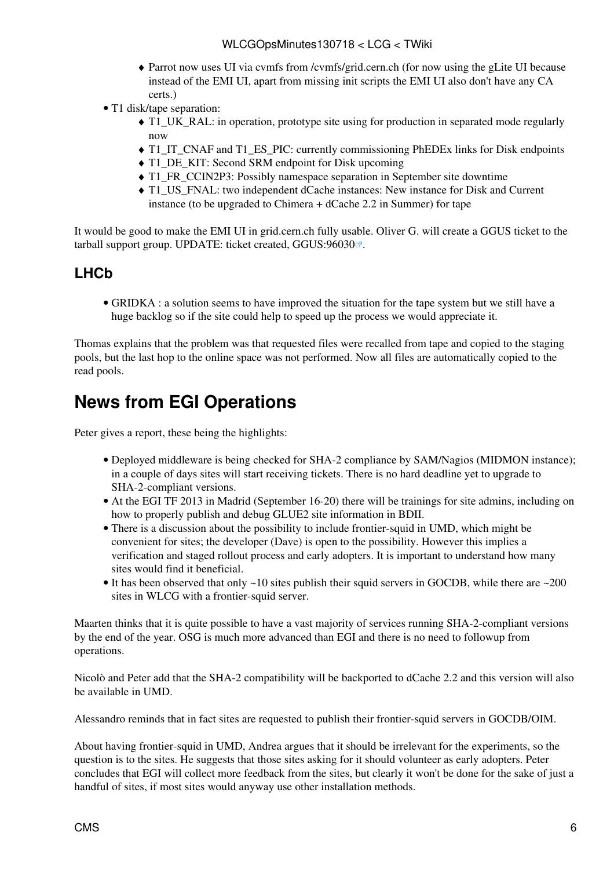- Parrot now uses UI via cvmfs from /cvmfs/grid.cern.ch (for now using the gLite UI because ♦ instead of the EMI UI, apart from missing init scripts the EMI UI also don't have any CA certs.)
- T1 disk/tape separation:
	- T1\_UK\_RAL: in operation, prototype site using for production in separated mode regularly ♦ now
	- ♦ T1\_IT\_CNAF and T1\_ES\_PIC: currently commissioning [PhEDEx](https://twiki.cern.ch/twiki/bin/view/LCG/PhEDEx) links for Disk endpoints
	- T1 DE KIT: Second SRM endpoint for Disk upcoming
	- ♦ T1\_FR\_CCIN2P3: Possibly namespace separation in September site downtime
	- T1\_US\_FNAL: two independent dCache instances: New instance for Disk and Current ♦ instance (to be upgraded to Chimera + dCache 2.2 in Summer) for tape

It would be good to make the EMI UI in grid.cern.ch fully usable. Oliver G. will create a GGUS ticket to the tarball support group. UPDATE: ticket created, [GGUS:96030](https://ggus.eu/ws/ticket_info.php?ticket=96030)<sup> $\alpha$ </sup>.

#### <span id="page-6-0"></span>**LHCb**

GRIDKA : a solution seems to have improved the situation for the tape system but we still have a • huge backlog so if the site could help to speed up the process we would appreciate it.

Thomas explains that the problem was that requested files were recalled from tape and copied to the staging pools, but the last hop to the online space was not performed. Now all files are automatically copied to the read pools.

## <span id="page-6-1"></span>**News from EGI Operations**

Peter gives a report, these being the highlights:

- Deployed middleware is being checked for SHA-2 compliance by SAM/Nagios (MIDMON instance); in a couple of days sites will start receiving tickets. There is no hard deadline yet to upgrade to SHA-2-compliant versions.
- At the EGI TF 2013 in Madrid (September 16-20) there will be trainings for site admins, including on how to properly publish and debug GLUE2 site information in BDII.
- There is a discussion about the possibility to include frontier-squid in UMD, which might be convenient for sites; the developer (Dave) is open to the possibility. However this implies a verification and staged rollout process and early adopters. It is important to understand how many sites would find it beneficial.
- It has been observed that only ~10 sites publish their squid servers in GOCDB, while there are ~200 sites in WLCG with a frontier-squid server.

Maarten thinks that it is quite possible to have a vast majority of services running SHA-2-compliant versions by the end of the year. OSG is much more advanced than EGI and there is no need to followup from operations.

Nicolò and Peter add that the SHA-2 compatibility will be backported to dCache 2.2 and this version will also be available in UMD.

Alessandro reminds that in fact sites are requested to publish their frontier-squid servers in GOCDB/OIM.

About having frontier-squid in UMD, Andrea argues that it should be irrelevant for the experiments, so the question is to the sites. He suggests that those sites asking for it should volunteer as early adopters. Peter concludes that EGI will collect more feedback from the sites, but clearly it won't be done for the sake of just a handful of sites, if most sites would anyway use other installation methods.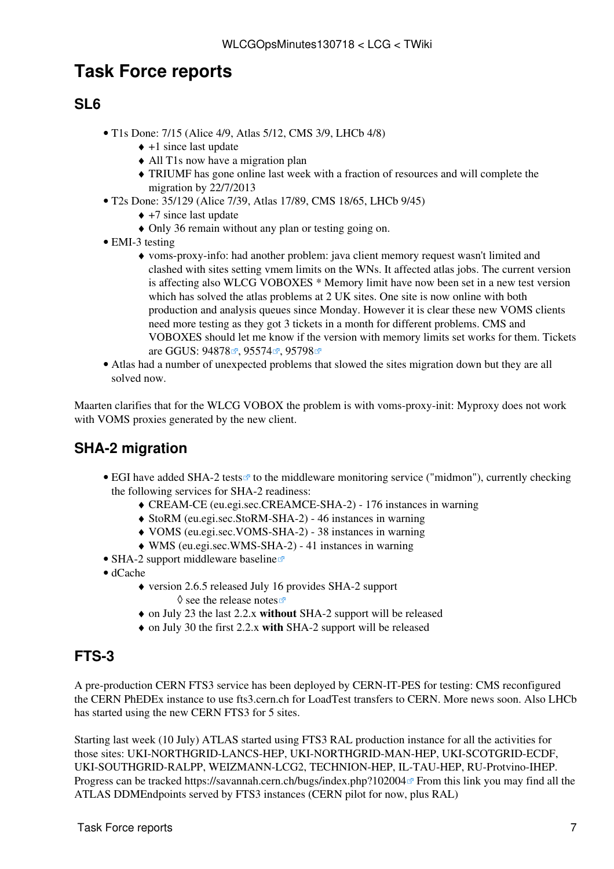### <span id="page-7-0"></span>**Task Force reports**

### <span id="page-7-1"></span>**SL6**

- T1s Done: 7/15 (Alice 4/9, Atlas 5/12, CMS 3/9, LHCb 4/8)
	- $\triangle$  +1 since last update
	- ♦ All T1s now have a migration plan
	- TRIUMF has gone online last week with a fraction of resources and will complete the ♦ migration by 22/7/2013
- T2s Done: 35/129 (Alice 7/39, Atlas 17/89, CMS 18/65, LHCb 9/45)
	- $\leftrightarrow$  +7 since last update
		- ♦ Only 36 remain without any plan or testing going on.
- EMI-3 testing
	- voms-proxy-info: had another problem: java client memory request wasn't limited and ♦ clashed with sites setting vmem limits on the WNs. It affected atlas jobs. The current version is affecting also WLCG VOBOXES \* Memory limit have now been set in a new test version which has solved the atlas problems at 2 UK sites. One site is now online with both production and analysis queues since Monday. However it is clear these new VOMS clients need more testing as they got 3 tickets in a month for different problems. CMS and VOBOXES should let me know if the version with memory limits set works for them. Tickets are GGUS: [94878](https://ggus.eu/ws/ticket_info.php?ticket=94878)<sup> $\alpha$ </sup>, [95574](https://ggus.eu/ws/ticket_info.php?ticket=95574) $\alpha$ <sup>2</sup>, [95798](https://ggus.eu/ws/ticket_info.php?ticket=95798) $\alpha$ <sup>2</sup>
- Atlas had a number of unexpected problems that slowed the sites migration down but they are all solved now.

Maarten clarifies that for the WLCG VOBOX the problem is with voms-proxy-init: Myproxy does not work with VOMS proxies generated by the new client.

### <span id="page-7-2"></span>**SHA-2 migration**

- EGI have added [SHA-2 tests](https://wiki.egi.eu/wiki/MW_SAM_tests#SHA-2_tests)<sup>®</sup> to the middleware monitoring service ("midmon"), currently checking the following services for SHA-2 readiness:
	- ♦ [CREAM](https://twiki.cern.ch/twiki/bin/view/LCG/CREAM)-CE (eu.egi.sec.CREAMCE-SHA-2) 176 instances in warning
	- ♦ StoRM (eu.egi.sec.StoRM-SHA-2) 46 instances in warning
	- ♦ VOMS (eu.egi.sec.VOMS-SHA-2) 38 instances in warning
	- ♦ WMS (eu.egi.sec.WMS-SHA-2) 41 instances in warning
- [SHA-2 support middleware baseline](https://wiki.egi.eu/wiki/SHA-2_support_middleware_baseline) $\vec{r}$
- dCache
	- version 2.6.5 released July 16 provides SHA-2 support ♦  $\Diamond$  see the [release notes](http://www.dcache.org/downloads/1.9/release-notes-2.6.shtml)  $\circ$
	- ♦ on July 23 the last 2.2.x **without** SHA-2 support will be released
	- ♦ on July 30 the first 2.2.x **with** SHA-2 support will be released

### <span id="page-7-3"></span>**FTS-3**

A pre-production CERN FTS3 service has been deployed by CERN-IT-PES for testing: CMS reconfigured the CERN [PhEDEx](https://twiki.cern.ch/twiki/bin/view/LCG/PhEDEx) instance to use fts3.cern.ch for [LoadTest](https://twiki.cern.ch/twiki/bin/edit/LCG/LoadTest?topicparent=LCG.WLCGOpsMinutes130718;nowysiwyg=1) transfers to CERN. More news soon. Also LHCb has started using the new CERN FTS3 for 5 sites.

Starting last week (10 July) ATLAS started using FTS3 [RAL](https://twiki.cern.ch/twiki/bin/view/LCG/RAL) production instance for all the activities for those sites: UKI-NORTHGRID-LANCS-HEP, UKI-NORTHGRID-MAN-HEP, UKI-SCOTGRID-ECDF, UKI-SOUTHGRID-RALPP, WEIZMANN-LCG2, TECHNION-HEP, IL-TAU-HEP, RU-Protvino-IHEP. Progress can be tracked <https://savannah.cern.ch/bugs/index.php?102004> From this link you may find all the ATLAS DDMEndpoints served by FTS3 instances (CERN pilot for now, plus [RAL](https://twiki.cern.ch/twiki/bin/view/LCG/RAL))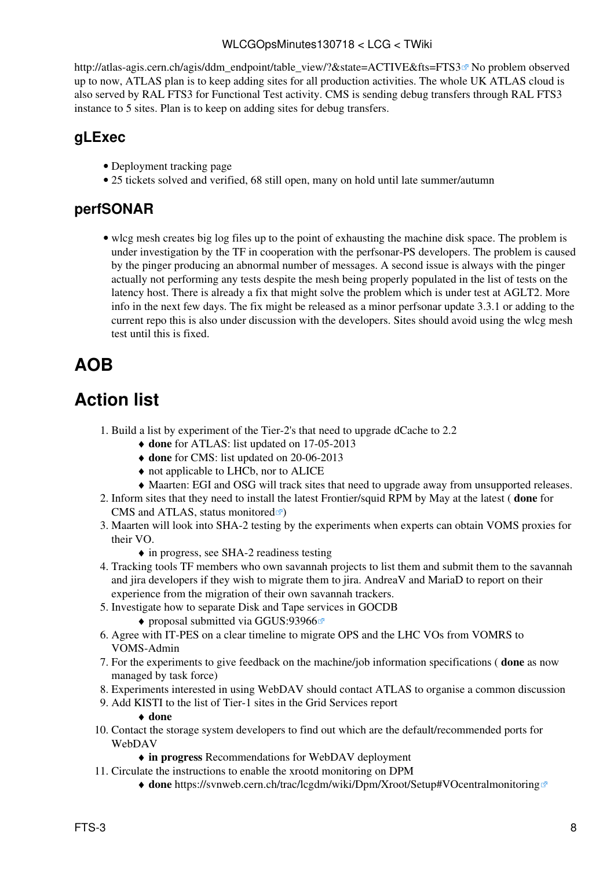#### WLCGOpsMinutes130718 < LCG < TWiki

[http://atlas-agis.cern.ch/agis/ddm\\_endpoint/table\\_view/?&state=ACTIVE&fts=FTS3](http://atlas-agis.cern.ch/agis/ddm_endpoint/table_view/?&state=ACTIVE&fts=FTS3) ® No problem observed up to now, ATLAS plan is to keep adding sites for all production activities. The whole UK ATLAS cloud is also served by [RAL](https://twiki.cern.ch/twiki/bin/view/LCG/RAL) FTS3 for Functional Test activity. CMS is sending debug transfers through [RAL](https://twiki.cern.ch/twiki/bin/view/LCG/RAL) FTS3 instance to 5 sites. Plan is to keep on adding sites for debug transfers.

#### <span id="page-8-0"></span>**gLExec**

- [Deployment tracking page](https://twiki.cern.ch/twiki/bin/view/LCG/GlexecDeploymentTracking)
- 25 tickets solved and verified, 68 still open, many on hold until late summer/autumn

#### <span id="page-8-1"></span>**perfSONAR**

• wlcg mesh creates big log files up to the point of exhausting the machine disk space. The problem is under investigation by the TF in cooperation with the perfsonar-PS developers. The problem is caused by the pinger producing an abnormal number of messages. A second issue is always with the pinger actually not performing any tests despite the mesh being properly populated in the list of tests on the latency host. There is already a fix that might solve the problem which is under test at AGLT2. More info in the next few days. The fix might be released as a minor perfsonar update 3.3.1 or adding to the current repo this is also under discussion with the developers. Sites should avoid using the wlcg mesh test until this is fixed.

## <span id="page-8-2"></span>**AOB**

## <span id="page-8-3"></span>**Action list**

- 1. Build a list by experiment of the Tier-2's that need to upgrade dCache to 2.2
	- ♦ **done** for ATLAS: [list](https://twiki.cern.ch/twiki/pub/LCG/WLCGOpsMinutes130718/ATLAS_dcache_endpoints_verLess2.2_final) updated on 17-05-2013
	- ♦ **done** for CMS: [list](https://twiki.cern.ch/twiki/pub/LCG/WLCGOpsMinutes130620/dcachesites_cms_20130620.txt) updated on 20-06-2013
	- ♦ not applicable to LHCb, nor to ALICE
	- ♦ Maarten: EGI and OSG will track sites that need to upgrade away from unsupported releases.
- Inform sites that they need to install the latest Frontier/squid RPM by May at the latest ( **done** for 2. CMS and ATLAS, status [monitored](http://wlcg-squid-monitor.cern.ch/squid_monitors.txt) $\vec{r}$ )
- Maarten will look into SHA-2 testing by the experiments when experts can obtain VOMS proxies for 3. their VO.
	- ♦ in progress, see [SHA-2 readiness testing](https://twiki.cern.ch/twiki/bin/view/LCG/SHA2readinessTesting)
- 4. Tracking tools TF members who own savannah projects to list them and submit them to the savannah and jira developers if they wish to migrate them to jira. AndreaV and MariaD to report on their experience from the migration of their own savannah trackers.
- 5. Investigate how to separate Disk and Tape services in GOCDB
	- ♦ proposal submitted via [GGUS:93966](https://ggus.eu/ws/ticket_info.php?ticket=93966)
- 6. Agree with IT-PES on a clear timeline to migrate OPS and the LHC VOs from VOMRS to VOMS-Admin
- For the experiments to give feedback on the machine/job information specifications ( **done** as now 7. managed by task force)
- 8. Experiments interested in using WebDAV should contact ATLAS to organise a common discussion
- Add KISTI to the list of Tier-1 sites in the Grid Services report 9.

#### ♦ **done**

- 10. Contact the storage system developers to find out which are the default/recommended ports for WebDAV
	- ♦ **in progress** [Recommendations for WebDAV deployment](https://twiki.cern.ch/twiki/bin/view/LCG/WLCGOpsCoordWebDAV)
- 11. Circulate the instructions to enable the xrootd monitoring on DPM
	- ♦ **done**<https://svnweb.cern.ch/trac/lcgdm/wiki/Dpm/Xroot/Setup#VOcentralmonitoring>